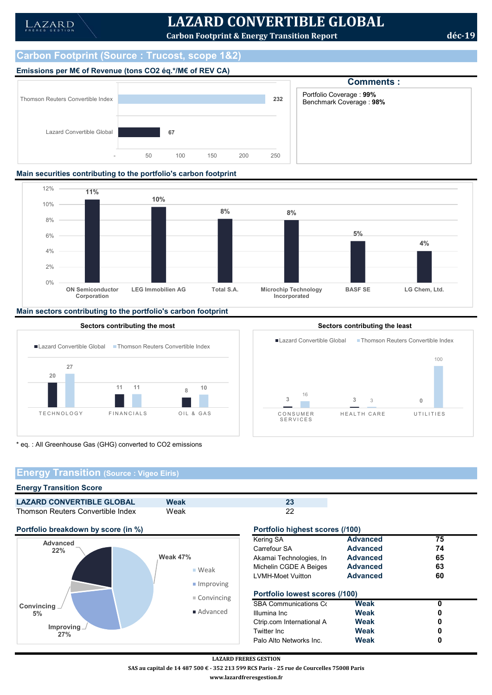# LAZARD CONVERTIBLE GLOBAL

Carbon Footprint & Energy Transition Report dec-19

# Carbon Footprint (Source : Trucost, scope 1&2)

# Emissions per M€ of Revenue (tons CO2 éq.\*/M€ of REV CA)



Comments : 232 | Benchmark Coverage : 98% **BLE GLOBAL**<br>
Dn Report<br>
Comments :<br>
Portfolio Coverage : 99%<br>
Benchmark Coverage : 98%

### Main securities contributing to the portfolio's carbon footprint



## Main sectors contributing to the portfolio's carbon footprint



\* eq. : All Greenhouse Gas (GHG) converted to CO2 emissions

# Energy Transition (Source : Vigeo Eiris)

#### Energy Transition Score

| Weak |      |
|------|------|
|      | Weak |





# **Kering SA Advanced** 75 Carrefour SA **Advanced** 74 Akamai Technologies, Inc. **Advanced** 65 Weak Michelin CGDE A Beiges Advanced 63 LVMH-Moet Vuitton **Advanced** 60 Convincing **Portfolio lowest scores (/100)** SBA Communications Corporation Weak 0 Advanced Illumina Inc **Weak** 0 Ctrip.com International A **DR** Weak **0** Twitter Inc. **Conserversal Weak** 0 Palo Alto Networks Inc. **Weak** 0

LAZARD FRERES GESTION

SAS au capital de 14 487 500 € - 352 213 599 RCS Paris - 25 rue de Courcelles 75008 Paris

www.lazardfreresgestion.fr